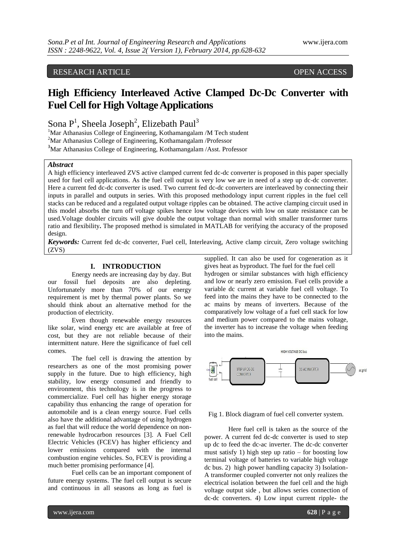# RESEARCH ARTICLE OPEN ACCESS

# **High Efficiency Interleaved Active Clamped Dc-Dc Converter with Fuel Cell for High Voltage Applications**

Sona  $P<sup>1</sup>$ , Sheela Joseph<sup>2</sup>, Elizebath Paul<sup>3</sup>

<sup>1</sup>Mar Athanasius College of Engineering, Kothamangalam /M Tech student

<sup>2</sup>Mar Athanasius College of Engineering, Kothamangalam /Professor

<sup>3</sup>Mar Athanasius College of Engineering, Kothamangalam /Asst. Professor

# *Abstract*

A high efficiency interleaved ZVS active clamped current fed dc-dc converter is proposed in this paper specially used for fuel cell applications. As the fuel cell output is very low we are in need of a step up dc-dc converter. Here a current fed dc-dc converter is used. Two current fed dc-dc converters are interleaved by connecting their inputs in parallel and outputs in series. With this proposed methodology input current ripples in the fuel cell stacks can be reduced and a regulated output voltage ripples can be obtained. The active clamping circuit used in this model absorbs the turn off voltage spikes hence low voltage devices with low on state resistance can be used.Voltage doubler circuits will give double the output voltage than normal with smaller transformer turns ratio and flexibility**.** The proposed method is simulated in MATLAB for verifying the accuracy of the proposed design.

*Keywords:* Current fed dc-dc converter, Fuel cell, Interleaving, Active clamp circuit, Zero voltage switching (ZVS)

# **I. INTRODUCTION**

Energy needs are increasing day by day. But our fossil fuel deposits are also depleting. Unfortunately more than 70% of our energy requirement is met by thermal power plants. So we should think about an alternative method for the production of electricity.

Even though renewable energy resources like solar, wind energy etc are available at free of cost, but they are not reliable because of their intermittent nature. Here the significance of fuel cell comes.

The fuel cell is drawing the attention by researchers as one of the most promising power supply in the future. Due to high efficiency, high stability, low energy consumed and friendly to environment, this technology is in the progress to commercialize. Fuel cell has higher energy storage capability thus enhancing the range of operation for automobile and is a clean energy source. Fuel cells also have the additional advantage of using hydrogen as fuel that will reduce the world dependence on nonrenewable hydrocarbon resources [3]. A Fuel Cell Electric Vehicles (FCEV) has higher efficiency and lower emissions compared with the internal combustion engine vehicles. So, FCEV is providing a much better promising performance [4].

Fuel cells can be an important component of future energy systems. The fuel cell output is secure and continuous in all seasons as long as fuel is

supplied. It can also be used for cogeneration as it gives heat as byproduct. The fuel for the fuel cell hydrogen or similar substances with high efficiency and low or nearly zero emission. Fuel cells provide a variable dc current at variable fuel cell voltage. To feed into the mains they have to be connected to the ac mains by means of inverters. Because of the comparatively low voltage of a fuel cell stack for low and medium power compared to the mains voltage, the inverter has to increase the voltage when feeding into the mains.



Fig 1. Block diagram of fuel cell converter system.

Here fuel cell is taken as the source of the power. A current fed dc-dc converter is used to step up dc to feed the dc-ac inverter. The dc-dc converter must satisfy 1) high step up ratio  $-$  for boosting low terminal voltage of batteries to variable high voltage dc bus. 2) high power handling capacity 3) Isolation-A transformer coupled converter not only realizes the electrical isolation between the fuel cell and the high voltage output side , but allows series connection of dc-dc converters. 4) Low input current ripple- the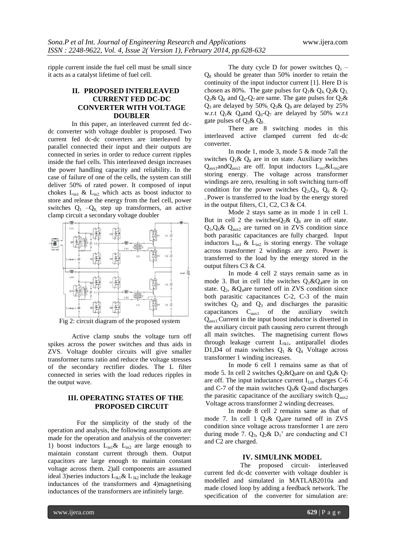ripple current inside the fuel cell must be small since it acts as a catalyst lifetime of fuel cell.

# **II. PROPOSED INTERLEAVED CURRENT FED DC-DC CONVERTER WITH VOLTAGE DOUBLER**

In this paper, an interleaved current fed dcdc converter with voltage doubler is proposed. Two current fed dc-dc converters are interleaved by parallel connected their input and their outputs are connected in series in order to reduce current ripples inside the fuel cells. This interleaved design increases the power handling capacity and reliability. In the case of failure of one of the cells, the system can still deliver 50% of rated power. It composed of input chokes  $L_{in1}$  &  $L_{in2}$  which acts as boost inductor to store and release the energy from the fuel cell, power switches  $Q_1$  – $Q_8$  step up transformers, an active clamp circuit a secondary voltage doubler



Fig 2: circuit diagram of the proposed system

Active clamp snubs the voltage turn off spikes across the power switches and thus aids in ZVS. Voltage doubler circuits will give smaller transformer turns ratio and reduce the voltage stresses of the secondary rectifier diodes. The L filter connected in series with the load reduces ripples in the output wave.

# **III. OPERATING STATES OF THE PROPOSED CIRCUIT**

 For the simplicity of the study of the operation and analysis, the following assumptions are made for the operation and analysis of the converter: 1) boost inductors  $L_{in1}$ &  $L_{in2}$  are large enough to maintain constant current through them. Output capacitors are large enough to maintain constant voltage across them. 2)all components are assumed ideal 3) series inductors  $L_{1k1} \& L_{1k2}$  include the leakage inductances of the transformers and 4)magnetising inductances of the transformers are infinitely large.

The duty cycle D for power switches  $Q_1$  –  $Q_8$  should be greater than 50% inorder to retain the continuity of the input inductor current [1]. Here D is chosen as 80%. The gate pulses for  $Q_1 \& Q_4 Q_2 \& Q_3$ ,  $Q_5\& Q_8$  and  $Q_6-Q_7$  are same. The gate pulses for  $Q_2\&$  $Q_3$  are delayed by 50%,  $Q_5 \& Q_8$  are delayed by 25% w.r.t  $Q_1 \& Q_4$ and  $Q_6$ - $Q_7$  are delayed by 50% w.r.t gate pulses of  $Q_5$ &  $Q_8$ .

There are 8 switching modes in this interleaved active clamped current fed dc-dc converter.

In mode 1, mode 3, mode 5 & mode 7all the switches  $Q_1 \& Q_8$  are in on state. Auxiliary switches  $Q_{aux1}$ and $Q_{aux2}$  are off. Input inductors  $L_{in1}$ & $L_{in2}$ are storing energy. The voltage across transformer windings are zero, resulting in soft switching turn-off condition for the power switches  $Q_2, Q_3, Q_6 \& Q_7$ ..Power is transferred to the load by the energy stored in the output filters, C1, C2, C3 & C4.

Mode 2 stays same as in mode 1 in cell 1. But in cell 2 the switches $Q_5 \& Q_8$  are in off state.  $Q_5$ , $Q_6$ &  $Q_{\text{aux2}}$  are turned on in ZVS condition since both parasitic capacitances are fully charged. Input inductors  $L_{in1}$  &  $L_{in2}$  is storing energy. The voltage across transformer 2 windings are zero. Power is transferred to the load by the energy stored in the output filters C3 & C4.

In mode 4 cell 2 stays remain same as in mode 3. But in cell 1the switches  $O_1 \& O_4$ are in on state.  $Q_2$ , & $Q_4$ are turned off in ZVS condition since both parasitic capacitances C-2, C-3 of the main switches  $Q_2$  and  $Q_3$  and discharges the parasitic capacitances Caux1 of the auxiliary switch  $Q<sub>aux1</sub>$ . Current in the input boost inductor is diverted in the auxiliary circuit path causing zero current through all main switches. The magnetising current flows through leakage current  $L_{1k1}$ , antiparallel diodes D1,D4 of main switches  $Q_1 \& Q_4$  Voltage across transformer 1 winding increases.

In mode 6 cell 1 remains same as that of mode 5. In cell 2 switches  $Q_5 \& Q_8$ are on and  $Q_6 \& Q_7$ are off. The input inductance current  $I_{Lin}$  charges C-6 and C-7 of the main switches  $Q_6$ &  $Q_7$ and discharges the parasitic capacitance of the auxiliary switch  $Q_{\text{aux2}}$ .Voltage across transformer 2 winding decreases.

In mode 8 cell 2 remains same as that of mode 7. In cell 1  $Q_1 \& Q_4$ are turned off in ZVS condition since voltage across transformer 1 are zero during mode 7.  $Q_3$ ,  $Q_2$ &  $D_1$ ' are conducting and C1 and C2 are charged.

# **IV. SIMULINK MODEL**

The proposed circuit- interleaved current fed dc-dc converter with voltage doubler is modelled and simulated in MATLAB2010a and made closed loop by adding a feedback network. The specification of the converter for simulation are: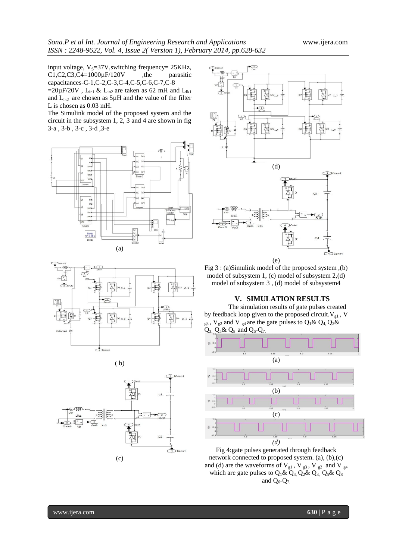input voltage,  $V_s=37V$ , switching frequency= 25KHz,<br>C1,C2,C3,C4=1000 $\mu$ F/120V, the parasitic  $C1, C2, C3, C4=1000 \mu F/120 V$ , the capacitances-C-1,C-2,C-3,C-4,C-5,C-6,C-7,C-8

=20µF/20V, L<sub>in1</sub> & L<sub>in2</sub> are taken as 62 mH and L<sub>1k1</sub> and  $L_{lk2}$  are chosen as  $5\mu$ H and the value of the filter L is chosen as 0.03 mH.

The Simulink model of the proposed system and the circuit in the subsystem 1, 2, 3 and 4 are shown in fig 3-a , 3-b , 3-c , 3-d ,3-e





$$
(b)
$$





Fig 3 : (a)Simulink model of the proposed system ,(b) model of subsystem 1, (c) model of subsystem 2,(d) model of subsystem 3 , (d) model of subsystem4

#### **V. SIMULATION RESULTS**

The simulation results of gate pulses created by feedback loop given to the proposed circuit.  $V_{gl}$ , V  $_{g3}$ , V<sub>g2</sub> and V <sub>g4</sub> are the gate pulses to Q<sub>1</sub>& Q<sub>4</sub>, Q<sub>2</sub>&  $Q_3$ ,  $Q_5$ &  $Q_8$  and  $Q_6$ - $Q_7$ 



Fig 4:gate pulses generated through feedback network connected to proposed system. (a), (b),(c) and (d) are the waveforms of  $\mathrm{V}_{\mathrm{g}1}$  ,  $\mathrm{V}_{\mathrm{g}3}$  ,  $\mathrm{V}_{\mathrm{g}2}$  and  $\mathrm{V}_{\mathrm{g}4}$ which are gate pulses to  $Q_1 \& Q_4$ ,  $Q_2 \& Q_3$ ,  $Q_5 \& Q_8$ and  $Q_6$ - $Q_7$ .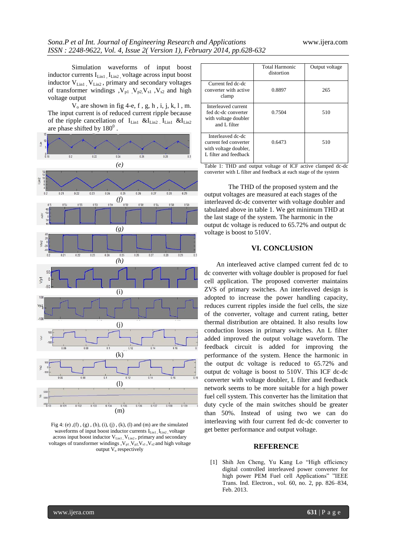Simulation waveforms of input boost inductor currents I<sub>Lin1</sub>, I<sub>Lin2</sub>, voltage across input boost inductor V<sub>Lin1</sub>, V<sub>Lin2</sub>, primary and secondary voltages of transformer windings  $, V_{p1}$ ,  $V_{p2}$ ,  $V_{s1}$ ,  $V_{s2}$  and high voltage output

 $V_0$  are shown in fig 4-e, f, g, h, i, j, k, l, m. The input current is of reduced current ripple because of the ripple cancellation of  $I_{\text{Lin}}$   $\&$  $I_{\text{Lin}}$   $I_{\text{Lin}}$   $\&$  $I_{\text{In2}}$ are phase shifted by  $180^0$ .



Fig 4: (e),  $(f)$ ,  $(g)$ ,  $(h)$ ,  $(i)$ ,  $(j)$ ,  $(k)$ ,  $(l)$  and  $(m)$  are the simulated waveforms of input boost inductor currents  $I_{\text{Lin}1}$ ,  $I_{\text{Lin}2}$ , voltage across input boost inductor V<sub>Lin1</sub>, V<sub>Lin2</sub>, primary and secondary voltages of transformer windings ,  $V_{p1}$ ,  $V_{p2}$ ,  $V_{s1}$ ,  $V_{s2}$  and high voltage output  $V_0$  respectively

|                                                                                              | Total Harmonic<br>distortion | Output voltage |
|----------------------------------------------------------------------------------------------|------------------------------|----------------|
| Current fed dc-dc<br>converter with active<br>clamp                                          | 0.8897                       | 265            |
| Interleaved current<br>fed dc-dc converter<br>with voltage doubler<br>and L filter           | 0.7504                       | 510            |
| Interleaved dc-dc<br>current fed converter<br>with voltage doubler,<br>L filter and feedback | 0.6473                       | 510            |

Table 1: THD and output voltage of ICF active clamped dc-dc converter with L filter and feedback at each stage of the system

The THD of the proposed system and the output voltages are measured at each stages of the interleaved dc-dc converter with voltage doubler and tabulated above in table 1. We get minimum THD at the last stage of the system. The harmonic in the output dc voltage is reduced to 65.72% and output dc voltage is boost to 510V.

# **VI. CONCLUSION**

An interleaved active clamped current fed dc to dc converter with voltage doubler is proposed for fuel cell application. The proposed converter maintains ZVS of primary switches. An interleaved design is adopted to increase the power handling capacity, reduces current ripples inside the fuel cells, the size of the converter, voltage and current rating, better thermal distribution are obtained. It also results low conduction losses in primary switches. An L filter added improved the output voltage waveform. The feedback circuit is added for improving the performance of the system. Hence the harmonic in the output dc voltage is reduced to 65.72% and output dc voltage is boost to 510V. This ICF dc-dc converter with voltage doubler, L filter and feedback network seems to be more suitable for a high power fuel cell system. This converter has the limitation that duty cycle of the main switches should be greater than 50%. Instead of using two we can do interleaving with four current fed dc-dc converter to get better performance and output voltage.

# **REFERENCE**

[1] Shih Jen Cheng, Yu Kang Lo "High efficiency digital controlled interleaved power converter for high power PEM Fuel cell Applications" "IEEE Trans. Ind. Electron., vol. 60, no. 2, pp. 826–834, Feb. 2013.